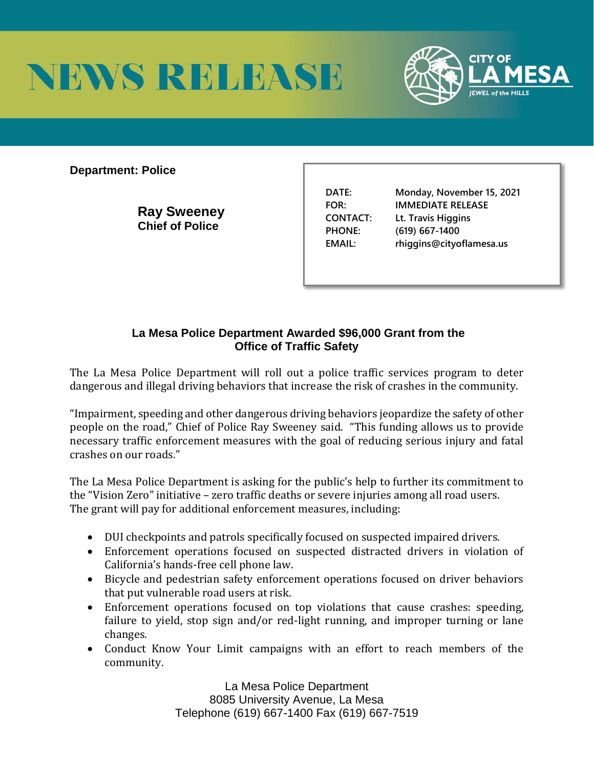



**Department: Police** 

**Ray Sweeney Chief of Police** 

**DATE: Monday, November 15, 2021 FOR: IMMEDIATE RELEASE CONTACT: Lt. Travis Higgins PHONE: (619) 667-1400 EMAIL: rhiggins@cityoflamesa.us**

## **La Mesa Police Department Awarded \$96,000 Grant from the Office of Traffic Safety**

The La Mesa Police Department will roll out a police traffic services program to deter dangerous and illegal driving behaviors that increase the risk of crashes in the community.

"Impairment, speeding and other dangerous driving behaviors jeopardize the safety of other people on the road," Chief of Police Ray Sweeney said. "This funding allows us to provide necessary traffic enforcement measures with the goal of reducing serious injury and fatal crashes on our roads."

The La Mesa Police Department is asking for the public's help to further its commitment to the "Vision Zero" initiative – zero traffic deaths or severe injuries among all road users. The grant will pay for additional enforcement measures, including:

- DUI checkpoints and patrols specifically focused on suspected impaired drivers.
- Enforcement operations focused on suspected distracted drivers in violation of California's hands-free cell phone law.
- Bicycle and pedestrian safety enforcement operations focused on driver behaviors that put vulnerable road users at risk.
- Enforcement operations focused on top violations that cause crashes: speeding, failure to yield, stop sign and/or red-light running, and improper turning or lane changes.
- Conduct Know Your Limit campaigns with an effort to reach members of the community.

La Mesa Police Department 8085 University Avenue, La Mesa Telephone (619) 667-1400 Fax (619) 667-7519